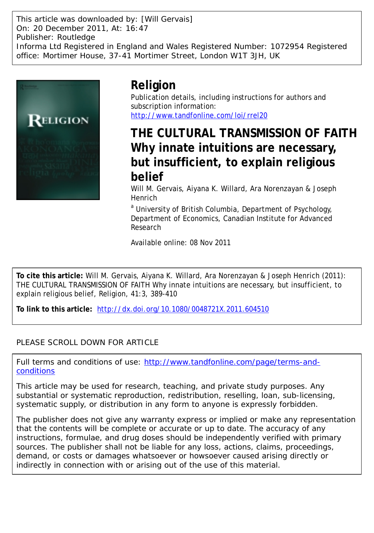This article was downloaded by: [Will Gervais] On: 20 December 2011, At: 16:47 Publisher: Routledge Informa Ltd Registered in England and Wales Registered Number: 1072954 Registered office: Mortimer House, 37-41 Mortimer Street, London W1T 3JH, UK



# **Religion**

Publication details, including instructions for authors and subscription information: <http://www.tandfonline.com/loi/rrel20>

# **THE CULTURAL TRANSMISSION OF FAITH Why innate intuitions are necessary, but insufficient, to explain religious belief**

Will M. Gervais, Aiyana K. Willard, Ara Norenzayan & Joseph Henrich

<sup>a</sup> University of British Columbia, Department of Psychology, Department of Economics, Canadian Institute for Advanced Research

Available online: 08 Nov 2011

**To cite this article:** Will M. Gervais, Aiyana K. Willard, Ara Norenzayan & Joseph Henrich (2011): THE CULTURAL TRANSMISSION OF FAITH Why innate intuitions are necessary, but insufficient, to explain religious belief, Religion, 41:3, 389-410

**To link to this article:** <http://dx.doi.org/10.1080/0048721X.2011.604510>

## PLEASE SCROLL DOWN FOR ARTICLE

Full terms and conditions of use: [http://www.tandfonline.com/page/terms-and](http://www.tandfonline.com/page/terms-and-conditions)[conditions](http://www.tandfonline.com/page/terms-and-conditions)

This article may be used for research, teaching, and private study purposes. Any substantial or systematic reproduction, redistribution, reselling, loan, sub-licensing, systematic supply, or distribution in any form to anyone is expressly forbidden.

The publisher does not give any warranty express or implied or make any representation that the contents will be complete or accurate or up to date. The accuracy of any instructions, formulae, and drug doses should be independently verified with primary sources. The publisher shall not be liable for any loss, actions, claims, proceedings, demand, or costs or damages whatsoever or howsoever caused arising directly or indirectly in connection with or arising out of the use of this material.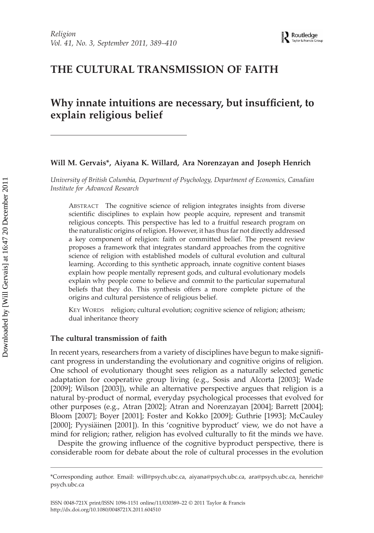## THE CULTURAL TRANSMISSION OF FAITH

# Why innate intuitions are necessary, but insufficient, to explain religious belief

### Will M. Gervais\*, Aiyana K. Willard, Ara Norenzayan and Joseph Henrich

University of British Columbia, Department of Psychology, Department of Economics, Canadian Institute for Advanced Research

ABSTRACT The cognitive science of religion integrates insights from diverse scientific disciplines to explain how people acquire, represent and transmit religious concepts. This perspective has led to a fruitful research program on the naturalistic origins of religion. However, it has thus far not directly addressed a key component of religion: faith or committed belief. The present review proposes a framework that integrates standard approaches from the cognitive science of religion with established models of cultural evolution and cultural learning. According to this synthetic approach, innate cognitive content biases explain how people mentally represent gods, and cultural evolutionary models explain why people come to believe and commit to the particular supernatural beliefs that they do. This synthesis offers a more complete picture of the origins and cultural persistence of religious belief.

KEY WORDS religion; cultural evolution; cognitive science of religion; atheism; dual inheritance theory

#### The cultural transmission of faith

In recent years, researchers from a variety of disciplines have begun to make significant progress in understanding the evolutionary and cognitive origins of religion. One school of evolutionary thought sees religion as a naturally selected genetic adaptation for cooperative group living (e.g., Sosis and Alcorta [2003]; Wade [2009]; Wilson [2003]), while an alternative perspective argues that religion is a natural by-product of normal, everyday psychological processes that evolved for other purposes (e.g., Atran [2002]; Atran and Norenzayan [2004]; Barrett [2004]; Bloom [2007]; Boyer [2001]; Foster and Kokko [2009]; Guthrie [1993]; McCauley [2000]; Pyysiäinen [2001]). In this 'cognitive byproduct' view, we do not have a mind for religion; rather, religion has evolved culturally to fit the minds we have.

Despite the growing influence of the cognitive byproduct perspective, there is considerable room for debate about the role of cultural processes in the evolution

<sup>\*</sup>Corresponding author. Email: will@psych.ubc.ca, aiyana@psych.ubc.ca, ara@psych.ubc.ca, henrich@ psych.ubc.ca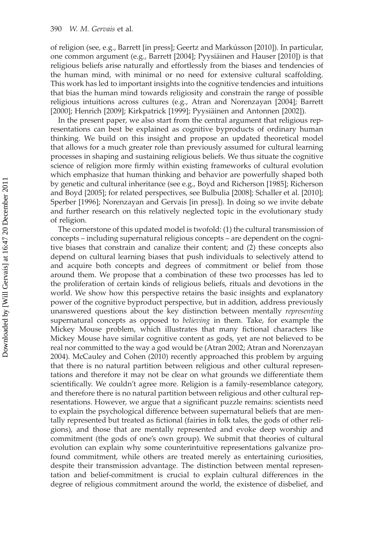of religion (see, e.g., Barrett [in press]; Geertz and Markússon [2010]). In particular, one common argument (e.g., Barrett [2004]; Pyysiäinen and Hauser [2010]) is that religious beliefs arise naturally and effortlessly from the biases and tendencies of the human mind, with minimal or no need for extensive cultural scaffolding. This work has led to important insights into the cognitive tendencies and intuitions that bias the human mind towards religiosity and constrain the range of possible religious intuitions across cultures (e.g., Atran and Norenzayan [2004]; Barrett [2000]; Henrich [2009]; Kirkpatrick [1999]; Pyysiäinen and Antonnen [2002]).

In the present paper, we also start from the central argument that religious representations can best be explained as cognitive byproducts of ordinary human thinking. We build on this insight and propose an updated theoretical model that allows for a much greater role than previously assumed for cultural learning processes in shaping and sustaining religious beliefs. We thus situate the cognitive science of religion more firmly within existing frameworks of cultural evolution which emphasize that human thinking and behavior are powerfully shaped both by genetic and cultural inheritance (see e.g., Boyd and Richerson [1985]; Richerson and Boyd [2005]; for related perspectives, see Bulbulia [2008]; Schaller et al. [2010]; Sperber [1996]; Norenzayan and Gervais [in press]). In doing so we invite debate and further research on this relatively neglected topic in the evolutionary study of religion.

The cornerstone of this updated model is twofold: (1) the cultural transmission of concepts – including supernatural religious concepts – are dependent on the cognitive biases that constrain and canalize their content; and (2) these concepts also depend on cultural learning biases that push individuals to selectively attend to and acquire both concepts and degrees of commitment or belief from those around them. We propose that a combination of these two processes has led to the proliferation of certain kinds of religious beliefs, rituals and devotions in the world. We show how this perspective retains the basic insights and explanatory power of the cognitive byproduct perspective, but in addition, address previously unanswered questions about the key distinction between mentally representing supernatural concepts as opposed to believing in them. Take, for example the Mickey Mouse problem, which illustrates that many fictional characters like Mickey Mouse have similar cognitive content as gods, yet are not believed to be real nor committed to the way a god would be (Atran 2002; Atran and Norenzayan 2004). McCauley and Cohen (2010) recently approached this problem by arguing that there is no natural partition between religious and other cultural representations and therefore it may not be clear on what grounds we differentiate them scientifically. We couldn't agree more. Religion is a family-resemblance category, and therefore there is no natural partition between religious and other cultural representations. However, we argue that a significant puzzle remains: scientists need to explain the psychological difference between supernatural beliefs that are mentally represented but treated as fictional (fairies in folk tales, the gods of other religions), and those that are mentally represented and evoke deep worship and commitment (the gods of one's own group). We submit that theories of cultural evolution can explain why some counterintuitive representations galvanize profound commitment, while others are treated merely as entertaining curiosities, despite their transmission advantage. The distinction between mental representation and belief-commitment is crucial to explain cultural differences in the degree of religious commitment around the world, the existence of disbelief, and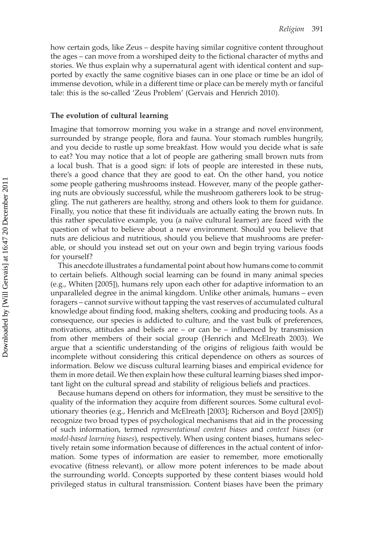how certain gods, like Zeus – despite having similar cognitive content throughout the ages – can move from a worshiped deity to the fictional character of myths and stories. We thus explain why a supernatural agent with identical content and supported by exactly the same cognitive biases can in one place or time be an idol of immense devotion, while in a different time or place can be merely myth or fanciful tale: this is the so-called 'Zeus Problem' (Gervais and Henrich 2010).

#### The evolution of cultural learning

Imagine that tomorrow morning you wake in a strange and novel environment, surrounded by strange people, flora and fauna. Your stomach rumbles hungrily, and you decide to rustle up some breakfast. How would you decide what is safe to eat? You may notice that a lot of people are gathering small brown nuts from a local bush. That is a good sign: if lots of people are interested in these nuts, there's a good chance that they are good to eat. On the other hand, you notice some people gathering mushrooms instead. However, many of the people gathering nuts are obviously successful, while the mushroom gatherers look to be struggling. The nut gatherers are healthy, strong and others look to them for guidance. Finally, you notice that these fit individuals are actually eating the brown nuts. In this rather speculative example, you (a naïve cultural learner) are faced with the question of what to believe about a new environment. Should you believe that nuts are delicious and nutritious, should you believe that mushrooms are preferable, or should you instead set out on your own and begin trying various foods for yourself?

This anecdote illustrates a fundamental point about how humans come to commit to certain beliefs. Although social learning can be found in many animal species (e.g., Whiten [2005]), humans rely upon each other for adaptive information to an unparalleled degree in the animal kingdom. Unlike other animals, humans – even foragers – cannot survive without tapping the vast reserves of accumulated cultural knowledge about finding food, making shelters, cooking and producing tools. As a consequence, our species is addicted to culture, and the vast bulk of preferences, motivations, attitudes and beliefs are  $-$  or can be  $-$  influenced by transmission from other members of their social group (Henrich and McElreath 2003). We argue that a scientific understanding of the origins of religious faith would be incomplete without considering this critical dependence on others as sources of information. Below we discuss cultural learning biases and empirical evidence for them in more detail. We then explain how these cultural learning biases shed important light on the cultural spread and stability of religious beliefs and practices.

Because humans depend on others for information, they must be sensitive to the quality of the information they acquire from different sources. Some cultural evolutionary theories (e.g., Henrich and McElreath [2003]; Richerson and Boyd [2005]) recognize two broad types of psychological mechanisms that aid in the processing of such information, termed representational content biases and context biases (or model-based learning biases), respectively. When using content biases, humans selectively retain some information because of differences in the actual content of information. Some types of information are easier to remember, more emotionally evocative (fitness relevant), or allow more potent inferences to be made about the surrounding world. Concepts supported by these content biases would hold privileged status in cultural transmission. Content biases have been the primary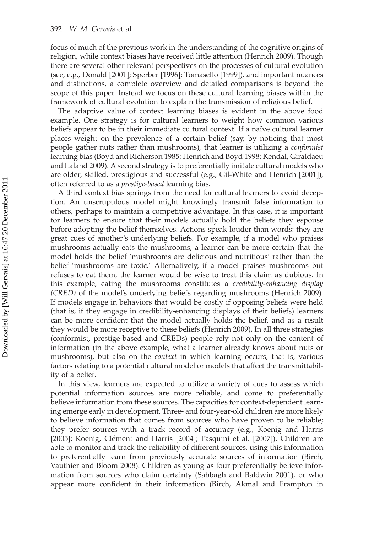focus of much of the previous work in the understanding of the cognitive origins of religion, while context biases have received little attention (Henrich 2009). Though there are several other relevant perspectives on the processes of cultural evolution (see, e.g., Donald [2001]; Sperber [1996]; Tomasello [1999]), and important nuances and distinctions, a complete overview and detailed comparisons is beyond the scope of this paper. Instead we focus on these cultural learning biases within the framework of cultural evolution to explain the transmission of religious belief.

The adaptive value of context learning biases is evident in the above food example. One strategy is for cultural learners to weight how common various beliefs appear to be in their immediate cultural context. If a naïve cultural learner places weight on the prevalence of a certain belief (say, by noticing that most people gather nuts rather than mushrooms), that learner is utilizing a conformist learning bias (Boyd and Richerson 1985; Henrich and Boyd 1998; Kendal, Giraldaeu and Laland 2009). A second strategy is to preferentially imitate cultural models who are older, skilled, prestigious and successful (e.g., Gil-White and Henrich [2001]), often referred to as a prestige-based learning bias.

A third context bias springs from the need for cultural learners to avoid deception. An unscrupulous model might knowingly transmit false information to others, perhaps to maintain a competitive advantage. In this case, it is important for learners to ensure that their models actually hold the beliefs they espouse before adopting the belief themselves. Actions speak louder than words: they are great cues of another's underlying beliefs. For example, if a model who praises mushrooms actually eats the mushrooms, a learner can be more certain that the model holds the belief 'mushrooms are delicious and nutritious' rather than the belief 'mushrooms are toxic.' Alternatively, if a model praises mushrooms but refuses to eat them, the learner would be wise to treat this claim as dubious. In this example, eating the mushrooms constitutes a credibility-enhancing display (CRED) of the model's underlying beliefs regarding mushrooms (Henrich 2009). If models engage in behaviors that would be costly if opposing beliefs were held (that is, if they engage in credibility-enhancing displays of their beliefs) learners can be more confident that the model actually holds the belief, and as a result they would be more receptive to these beliefs (Henrich 2009). In all three strategies (conformist, prestige-based and CREDs) people rely not only on the content of information (in the above example, what a learner already knows about nuts or mushrooms), but also on the *context* in which learning occurs, that is, various factors relating to a potential cultural model or models that affect the transmittability of a belief.

In this view, learners are expected to utilize a variety of cues to assess which potential information sources are more reliable, and come to preferentially believe information from these sources. The capacities for context-dependent learning emerge early in development. Three- and four-year-old children are more likely to believe information that comes from sources who have proven to be reliable; they prefer sources with a track record of accuracy (e.g., Koenig and Harris [2005]; Koenig, Clément and Harris [2004]; Pasquini et al. [2007]). Children are able to monitor and track the reliability of different sources, using this information to preferentially learn from previously accurate sources of information (Birch, Vauthier and Bloom 2008). Children as young as four preferentially believe information from sources who claim certainty (Sabbagh and Baldwin 2001), or who appear more confident in their information (Birch, Akmal and Frampton in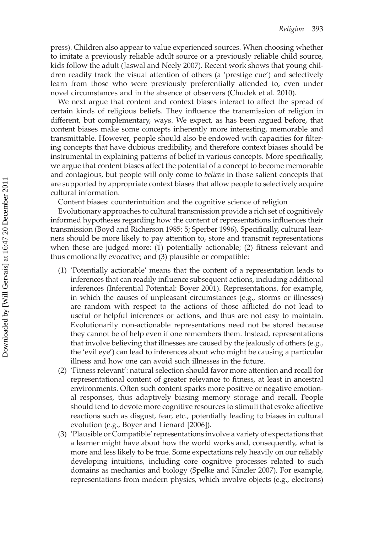press). Children also appear to value experienced sources. When choosing whether to imitate a previously reliable adult source or a previously reliable child source, kids follow the adult (Jaswal and Neely 2007). Recent work shows that young children readily track the visual attention of others (a 'prestige cue') and selectively learn from those who were previously preferentially attended to, even under novel circumstances and in the absence of observers (Chudek et al. 2010).

We next argue that content and context biases interact to affect the spread of certain kinds of religious beliefs. They influence the transmission of religion in different, but complementary, ways. We expect, as has been argued before, that content biases make some concepts inherently more interesting, memorable and transmittable. However, people should also be endowed with capacities for filtering concepts that have dubious credibility, and therefore context biases should be instrumental in explaining patterns of belief in various concepts. More specifically, we argue that content biases affect the potential of a concept to become memorable and contagious, but people will only come to believe in those salient concepts that are supported by appropriate context biases that allow people to selectively acquire cultural information.

Content biases: counterintuition and the cognitive science of religion

Evolutionary approaches to cultural transmission provide a rich set of cognitively informed hypotheses regarding how the content of representations influences their transmission (Boyd and Richerson 1985: 5; Sperber 1996). Specifically, cultural learners should be more likely to pay attention to, store and transmit representations when these are judged more: (1) potentially actionable; (2) fitness relevant and thus emotionally evocative; and (3) plausible or compatible:

- (1) 'Potentially actionable' means that the content of a representation leads to inferences that can readily influence subsequent actions, including additional inferences (Inferential Potential: Boyer 2001). Representations, for example, in which the causes of unpleasant circumstances (e.g., storms or illnesses) are random with respect to the actions of those afflicted do not lead to useful or helpful inferences or actions, and thus are not easy to maintain. Evolutionarily non-actionable representations need not be stored because they cannot be of help even if one remembers them. Instead, representations that involve believing that illnesses are caused by the jealously of others (e.g., the 'evil eye') can lead to inferences about who might be causing a particular illness and how one can avoid such illnesses in the future.
- (2) 'Fitness relevant': natural selection should favor more attention and recall for representational content of greater relevance to fitness, at least in ancestral environments. Often such content sparks more positive or negative emotional responses, thus adaptively biasing memory storage and recall. People should tend to devote more cognitive resources to stimuli that evoke affective reactions such as disgust, fear, etc., potentially leading to biases in cultural evolution (e.g., Boyer and Lienard [2006]).
- (3) 'Plausible or Compatible'representations involve a variety of expectations that a learner might have about how the world works and, consequently, what is more and less likely to be true. Some expectations rely heavily on our reliably developing intuitions, including core cognitive processes related to such domains as mechanics and biology (Spelke and Kinzler 2007). For example, representations from modern physics, which involve objects (e.g., electrons)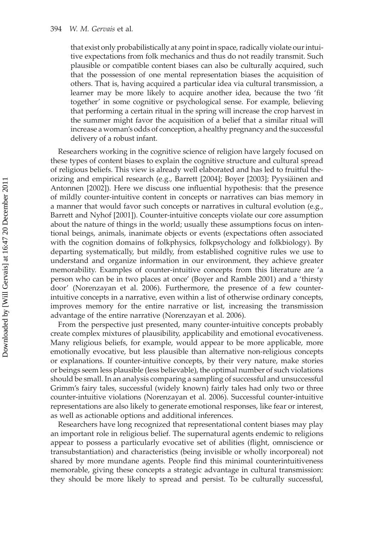that exist only probabilistically at any point in space, radically violate our intuitive expectations from folk mechanics and thus do not readily transmit. Such plausible or compatible content biases can also be culturally acquired, such that the possession of one mental representation biases the acquisition of others. That is, having acquired a particular idea via cultural transmission, a learner may be more likely to acquire another idea, because the two 'fit together' in some cognitive or psychological sense. For example, believing that performing a certain ritual in the spring will increase the crop harvest in the summer might favor the acquisition of a belief that a similar ritual will increase a woman's odds of conception, a healthy pregnancy and the successful delivery of a robust infant.

Researchers working in the cognitive science of religion have largely focused on these types of content biases to explain the cognitive structure and cultural spread of religious beliefs. This view is already well elaborated and has led to fruitful theorizing and empirical research (e.g., Barrett [2004]; Boyer [2003]; Pyysiäinen and Antonnen [2002]). Here we discuss one influential hypothesis: that the presence of mildly counter-intuitive content in concepts or narratives can bias memory in a manner that would favor such concepts or narratives in cultural evolution (e.g., Barrett and Nyhof [2001]). Counter-intuitive concepts violate our core assumption about the nature of things in the world; usually these assumptions focus on intentional beings, animals, inanimate objects or events (expectations often associated with the cognition domains of folkphysics, folkpsychology and folkbiology). By departing systematically, but mildly, from established cognitive rules we use to understand and organize information in our environment, they achieve greater memorability. Examples of counter-intuitive concepts from this literature are 'a person who can be in two places at once' (Boyer and Ramble 2001) and a 'thirsty door' (Norenzayan et al. 2006). Furthermore, the presence of a few counterintuitive concepts in a narrative, even within a list of otherwise ordinary concepts, improves memory for the entire narrative or list, increasing the transmission advantage of the entire narrative (Norenzayan et al. 2006).

From the perspective just presented, many counter-intuitive concepts probably create complex mixtures of plausibility, applicability and emotional evocativeness. Many religious beliefs, for example, would appear to be more applicable, more emotionally evocative, but less plausible than alternative non-religious concepts or explanations. If counter-intuitive concepts, by their very nature, make stories or beings seem less plausible (less believable), the optimal number of such violations should be small. In an analysis comparing a sampling of successful and unsuccessful Grimm's fairy tales, successful (widely known) fairly tales had only two or three counter-intuitive violations (Norenzayan et al. 2006). Successful counter-intuitive representations are also likely to generate emotional responses, like fear or interest, as well as actionable options and additional inferences.

Researchers have long recognized that representational content biases may play an important role in religious belief. The supernatural agents endemic to religions appear to possess a particularly evocative set of abilities (flight, omniscience or transubstantiation) and characteristics (being invisible or wholly incorporeal) not shared by more mundane agents. People find this minimal counterintuitiveness memorable, giving these concepts a strategic advantage in cultural transmission: they should be more likely to spread and persist. To be culturally successful,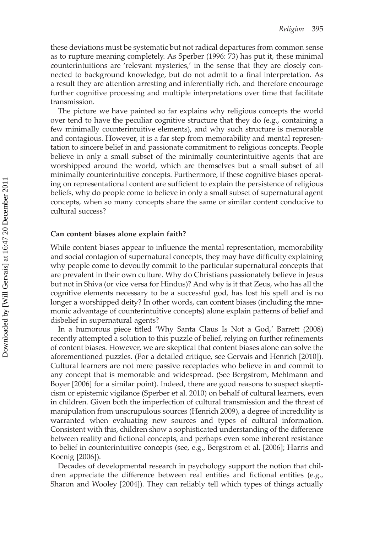these deviations must be systematic but not radical departures from common sense as to rupture meaning completely. As Sperber (1996: 73) has put it, these minimal counterintuitions are 'relevant mysteries,' in the sense that they are closely connected to background knowledge, but do not admit to a final interpretation. As a result they are attention arresting and inferentially rich, and therefore encourage further cognitive processing and multiple interpretations over time that facilitate transmission.

The picture we have painted so far explains why religious concepts the world over tend to have the peculiar cognitive structure that they do (e.g., containing a few minimally counterintuitive elements), and why such structure is memorable and contagious. However, it is a far step from memorability and mental representation to sincere belief in and passionate commitment to religious concepts. People believe in only a small subset of the minimally counterintuitive agents that are worshipped around the world, which are themselves but a small subset of all minimally counterintuitive concepts. Furthermore, if these cognitive biases operating on representational content are sufficient to explain the persistence of religious beliefs, why do people come to believe in only a small subset of supernatural agent concepts, when so many concepts share the same or similar content conducive to cultural success?

#### Can content biases alone explain faith?

While content biases appear to influence the mental representation, memorability and social contagion of supernatural concepts, they may have difficulty explaining why people come to devoutly commit to the particular supernatural concepts that are prevalent in their own culture. Why do Christians passionately believe in Jesus but not in Shiva (or vice versa for Hindus)? And why is it that Zeus, who has all the cognitive elements necessary to be a successful god, has lost his spell and is no longer a worshipped deity? In other words, can content biases (including the mnemonic advantage of counterintuitive concepts) alone explain patterns of belief and disbelief in supernatural agents?

In a humorous piece titled 'Why Santa Claus Is Not a God,' Barrett (2008) recently attempted a solution to this puzzle of belief, relying on further refinements of content biases. However, we are skeptical that content biases alone can solve the aforementioned puzzles. (For a detailed critique, see Gervais and Henrich [2010]). Cultural learners are not mere passive receptacles who believe in and commit to any concept that is memorable and widespread. (See Bergstrom, Mehlmann and Boyer [2006] for a similar point). Indeed, there are good reasons to suspect skepticism or epistemic vigilance (Sperber et al. 2010) on behalf of cultural learners, even in children. Given both the imperfection of cultural transmission and the threat of manipulation from unscrupulous sources (Henrich 2009), a degree of incredulity is warranted when evaluating new sources and types of cultural information. Consistent with this, children show a sophisticated understanding of the difference between reality and fictional concepts, and perhaps even some inherent resistance to belief in counterintuitive concepts (see, e.g., Bergstrom et al. [2006]; Harris and Koenig [2006]).

Decades of developmental research in psychology support the notion that children appreciate the difference between real entities and fictional entities (e.g., Sharon and Wooley [2004]). They can reliably tell which types of things actually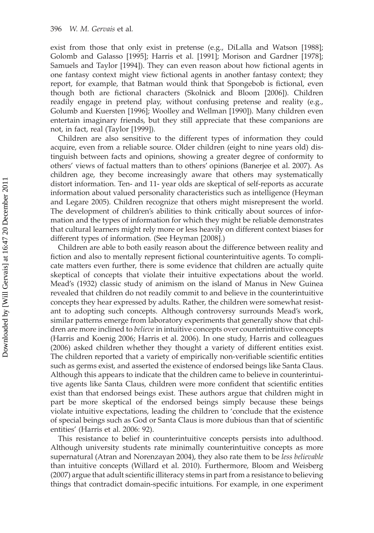exist from those that only exist in pretense (e.g., DiLalla and Watson [1988]; Golomb and Galasso [1995]; Harris et al. [1991]; Morison and Gardner [1978]; Samuels and Taylor [1994]). They can even reason about how fictional agents in one fantasy context might view fictional agents in another fantasy context; they report, for example, that Batman would think that Spongebob is fictional, even though both are fictional characters (Skolnick and Bloom [2006]). Children readily engage in pretend play, without confusing pretense and reality (e.g., Golumb and Kuersten [1996]; Woolley and Wellman [1990]). Many children even entertain imaginary friends, but they still appreciate that these companions are not, in fact, real (Taylor [1999]).

Children are also sensitive to the different types of information they could acquire, even from a reliable source. Older children (eight to nine years old) distinguish between facts and opinions, showing a greater degree of conformity to others' views of factual matters than to others' opinions (Banerjee et al. 2007). As children age, they become increasingly aware that others may systematically distort information. Ten- and 11- year olds are skeptical of self-reports as accurate information about valued personality characteristics such as intelligence (Heyman and Legare 2005). Children recognize that others might misrepresent the world. The development of children's abilities to think critically about sources of information and the types of information for which they might be reliable demonstrates that cultural learners might rely more or less heavily on different context biases for different types of information. (See Heyman [2008].)

Children are able to both easily reason about the difference between reality and fiction and also to mentally represent fictional counterintuitive agents. To complicate matters even further, there is some evidence that children are actually quite skeptical of concepts that violate their intuitive expectations about the world. Mead's (1932) classic study of animism on the island of Manus in New Guinea revealed that children do not readily commit to and believe in the counterintuitive concepts they hear expressed by adults. Rather, the children were somewhat resistant to adopting such concepts. Although controversy surrounds Mead's work, similar patterns emerge from laboratory experiments that generally show that children are more inclined to *believe* in intuitive concepts over counterintuitive concepts (Harris and Koenig 2006; Harris et al. 2006). In one study, Harris and colleagues (2006) asked children whether they thought a variety of different entities exist. The children reported that a variety of empirically non-verifiable scientific entities such as germs exist, and asserted the existence of endorsed beings like Santa Claus. Although this appears to indicate that the children came to believe in counterintuitive agents like Santa Claus, children were more confident that scientific entities exist than that endorsed beings exist. These authors argue that children might in part be more skeptical of the endorsed beings simply because these beings violate intuitive expectations, leading the children to 'conclude that the existence of special beings such as God or Santa Claus is more dubious than that of scientific entities' (Harris et al. 2006: 92).

This resistance to belief in counterintuitive concepts persists into adulthood. Although university students rate minimally counterintuitive concepts as more supernatural (Atran and Norenzayan 2004), they also rate them to be less believable than intuitive concepts (Willard et al. 2010). Furthermore, Bloom and Weisberg (2007) argue that adult scientific illiteracy stems in part from a resistance to believing things that contradict domain-specific intuitions. For example, in one experiment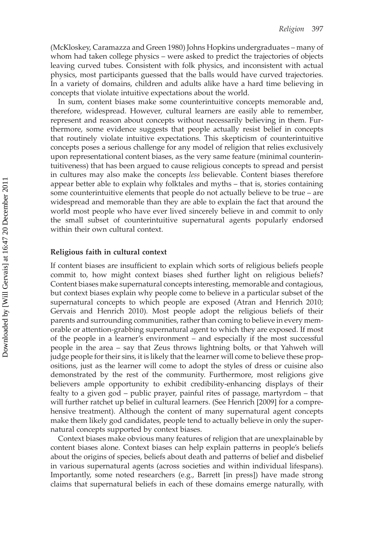(McKloskey, Caramazza and Green 1980) Johns Hopkins undergraduates – many of whom had taken college physics – were asked to predict the trajectories of objects leaving curved tubes. Consistent with folk physics, and inconsistent with actual physics, most participants guessed that the balls would have curved trajectories. In a variety of domains, children and adults alike have a hard time believing in concepts that violate intuitive expectations about the world.

In sum, content biases make some counterintuitive concepts memorable and, therefore, widespread. However, cultural learners are easily able to remember, represent and reason about concepts without necessarily believing in them. Furthermore, some evidence suggests that people actually resist belief in concepts that routinely violate intuitive expectations. This skepticism of counterintuitive concepts poses a serious challenge for any model of religion that relies exclusively upon representational content biases, as the very same feature (minimal counterintuitiveness) that has been argued to cause religious concepts to spread and persist in cultures may also make the concepts less believable. Content biases therefore appear better able to explain why folktales and myths – that is, stories containing some counterintuitive elements that people do not actually believe to be true – are widespread and memorable than they are able to explain the fact that around the world most people who have ever lived sincerely believe in and commit to only the small subset of counterintuitive supernatural agents popularly endorsed within their own cultural context.

#### Religious faith in cultural context

If content biases are insufficient to explain which sorts of religious beliefs people commit to, how might context biases shed further light on religious beliefs? Content biases make supernatural concepts interesting, memorable and contagious, but context biases explain why people come to believe in a particular subset of the supernatural concepts to which people are exposed (Atran and Henrich 2010; Gervais and Henrich 2010). Most people adopt the religious beliefs of their parents and surrounding communities, rather than coming to believe in every memorable or attention-grabbing supernatural agent to which they are exposed. If most of the people in a learner's environment – and especially if the most successful people in the area – say that Zeus throws lightning bolts, or that Yahweh will judge people for their sins, it is likely that the learner will come to believe these propositions, just as the learner will come to adopt the styles of dress or cuisine also demonstrated by the rest of the community. Furthermore, most religions give believers ample opportunity to exhibit credibility-enhancing displays of their fealty to a given god – public prayer, painful rites of passage, martyrdom – that will further ratchet up belief in cultural learners. (See Henrich [2009] for a comprehensive treatment). Although the content of many supernatural agent concepts make them likely god candidates, people tend to actually believe in only the supernatural concepts supported by context biases.

Context biases make obvious many features of religion that are unexplainable by content biases alone. Context biases can help explain patterns in people's beliefs about the origins of species, beliefs about death and patterns of belief and disbelief in various supernatural agents (across societies and within individual lifespans). Importantly, some noted researchers (e.g., Barrett [in press]) have made strong claims that supernatural beliefs in each of these domains emerge naturally, with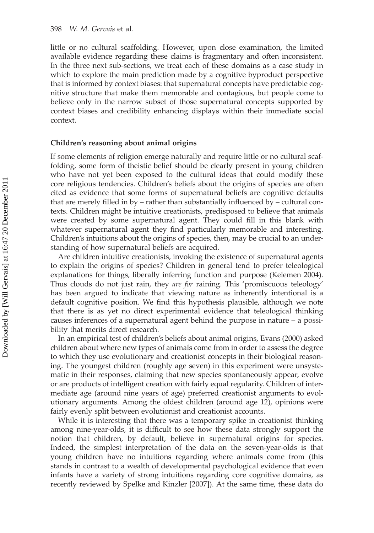little or no cultural scaffolding. However, upon close examination, the limited available evidence regarding these claims is fragmentary and often inconsistent. In the three next sub-sections, we treat each of these domains as a case study in which to explore the main prediction made by a cognitive byproduct perspective that is informed by context biases: that supernatural concepts have predictable cognitive structure that make them memorable and contagious, but people come to believe only in the narrow subset of those supernatural concepts supported by context biases and credibility enhancing displays within their immediate social context.

#### Children's reasoning about animal origins

If some elements of religion emerge naturally and require little or no cultural scaffolding, some form of theistic belief should be clearly present in young children who have not yet been exposed to the cultural ideas that could modify these core religious tendencies. Children's beliefs about the origins of species are often cited as evidence that some forms of supernatural beliefs are cognitive defaults that are merely filled in by – rather than substantially influenced by – cultural contexts. Children might be intuitive creationists, predisposed to believe that animals were created by some supernatural agent. They could fill in this blank with whatever supernatural agent they find particularly memorable and interesting. Children's intuitions about the origins of species, then, may be crucial to an understanding of how supernatural beliefs are acquired.

Are children intuitive creationists, invoking the existence of supernatural agents to explain the origins of species? Children in general tend to prefer teleological explanations for things, liberally inferring function and purpose (Kelemen 2004). Thus clouds do not just rain, they are for raining. This 'promiscuous teleology' has been argued to indicate that viewing nature as inherently intentional is a default cognitive position. We find this hypothesis plausible, although we note that there is as yet no direct experimental evidence that teleological thinking causes inferences of a supernatural agent behind the purpose in nature – a possibility that merits direct research.

In an empirical test of children's beliefs about animal origins, Evans (2000) asked children about where new types of animals come from in order to assess the degree to which they use evolutionary and creationist concepts in their biological reasoning. The youngest children (roughly age seven) in this experiment were unsystematic in their responses, claiming that new species spontaneously appear, evolve or are products of intelligent creation with fairly equal regularity. Children of intermediate age (around nine years of age) preferred creationist arguments to evolutionary arguments. Among the oldest children (around age 12), opinions were fairly evenly split between evolutionist and creationist accounts.

While it is interesting that there was a temporary spike in creationist thinking among nine-year-olds, it is difficult to see how these data strongly support the notion that children, by default, believe in supernatural origins for species. Indeed, the simplest interpretation of the data on the seven-year-olds is that young children have no intuitions regarding where animals come from (this stands in contrast to a wealth of developmental psychological evidence that even infants have a variety of strong intuitions regarding core cognitive domains, as recently reviewed by Spelke and Kinzler [2007]). At the same time, these data do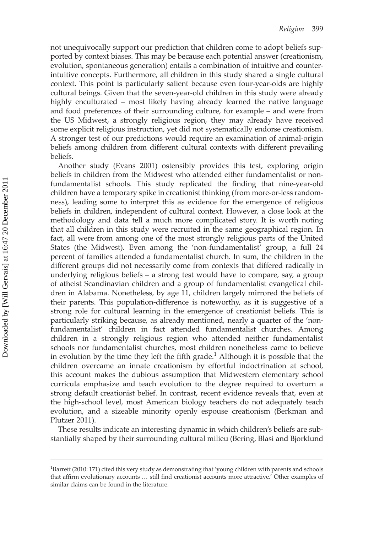not unequivocally support our prediction that children come to adopt beliefs supported by context biases. This may be because each potential answer (creationism, evolution, spontaneous generation) entails a combination of intuitive and counterintuitive concepts. Furthermore, all children in this study shared a single cultural context. This point is particularly salient because even four-year-olds are highly cultural beings. Given that the seven-year-old children in this study were already highly enculturated – most likely having already learned the native language and food preferences of their surrounding culture, for example – and were from the US Midwest, a strongly religious region, they may already have received some explicit religious instruction, yet did not systematically endorse creationism. A stronger test of our predictions would require an examination of animal-origin beliefs among children from different cultural contexts with different prevailing beliefs.

Another study (Evans 2001) ostensibly provides this test, exploring origin beliefs in children from the Midwest who attended either fundamentalist or nonfundamentalist schools. This study replicated the finding that nine-year-old children have a temporary spike in creationist thinking (from more-or-less randomness), leading some to interpret this as evidence for the emergence of religious beliefs in children, independent of cultural context. However, a close look at the methodology and data tell a much more complicated story. It is worth noting that all children in this study were recruited in the same geographical region. In fact, all were from among one of the most strongly religious parts of the United States (the Midwest). Even among the 'non-fundamentalist' group, a full 24 percent of families attended a fundamentalist church. In sum, the children in the different groups did not necessarily come from contexts that differed radically in underlying religious beliefs – a strong test would have to compare, say, a group of atheist Scandinavian children and a group of fundamentalist evangelical children in Alabama. Nonetheless, by age 11, children largely mirrored the beliefs of their parents. This population-difference is noteworthy, as it is suggestive of a strong role for cultural learning in the emergence of creationist beliefs. This is particularly striking because, as already mentioned, nearly a quarter of the 'nonfundamentalist' children in fact attended fundamentalist churches. Among children in a strongly religious region who attended neither fundamentalist schools nor fundamentalist churches, most children nonetheless came to believe in evolution by the time they left the fifth grade.<sup>1</sup> Although it is possible that the children overcame an innate creationism by effortful indoctrination at school, this account makes the dubious assumption that Midwestern elementary school curricula emphasize and teach evolution to the degree required to overturn a strong default creationist belief. In contrast, recent evidence reveals that, even at the high-school level, most American biology teachers do not adequately teach evolution, and a sizeable minority openly espouse creationism (Berkman and Plutzer 2011).

These results indicate an interesting dynamic in which children's beliefs are substantially shaped by their surrounding cultural milieu (Bering, Blasi and Bjorklund

<sup>&</sup>lt;sup>1</sup>Barrett (2010: 171) cited this very study as demonstrating that 'young children with parents and schools that affirm evolutionary accounts … still find creationist accounts more attractive.' Other examples of similar claims can be found in the literature.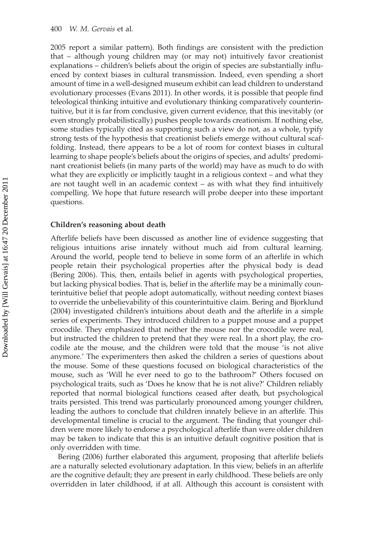2005 report a similar pattern). Both findings are consistent with the prediction that – although young children may (or may not) intuitively favor creationist explanations – children's beliefs about the origin of species are substantially influenced by context biases in cultural transmission. Indeed, even spending a short amount of time in a well-designed museum exhibit can lead children to understand evolutionary processes (Evans 2011). In other words, it is possible that people find teleological thinking intuitive and evolutionary thinking comparatively counterintuitive, but it is far from conclusive, given current evidence, that this inevitably (or even strongly probabilistically) pushes people towards creationism. If nothing else, some studies typically cited as supporting such a view do not, as a whole, typify strong tests of the hypothesis that creationist beliefs emerge without cultural scaffolding. Instead, there appears to be a lot of room for context biases in cultural learning to shape people's beliefs about the origins of species, and adults' predominant creationist beliefs (in many parts of the world) may have as much to do with what they are explicitly or implicitly taught in a religious context – and what they are not taught well in an academic context – as with what they find intuitively compelling. We hope that future research will probe deeper into these important questions.

#### Children's reasoning about death

Afterlife beliefs have been discussed as another line of evidence suggesting that religious intuitions arise innately without much aid from cultural learning. Around the world, people tend to believe in some form of an afterlife in which people retain their psychological properties after the physical body is dead (Bering 2006). This, then, entails belief in agents with psychological properties, but lacking physical bodies. That is, belief in the afterlife may be a minimally counterintuitive belief that people adopt automatically, without needing context biases to override the unbelievability of this counterintuitive claim. Bering and Bjorklund (2004) investigated children's intuitions about death and the afterlife in a simple series of experiments. They introduced children to a puppet mouse and a puppet crocodile. They emphasized that neither the mouse nor the crocodile were real, but instructed the children to pretend that they were real. In a short play, the crocodile ate the mouse, and the children were told that the mouse 'is not alive anymore.' The experimenters then asked the children a series of questions about the mouse. Some of these questions focused on biological characteristics of the mouse, such as 'Will he ever need to go to the bathroom?' Others focused on psychological traits, such as 'Does he know that he is not alive?' Children reliably reported that normal biological functions ceased after death, but psychological traits persisted. This trend was particularly pronounced among younger children, leading the authors to conclude that children innately believe in an afterlife. This developmental timeline is crucial to the argument. The finding that younger children were more likely to endorse a psychological afterlife than were older children may be taken to indicate that this is an intuitive default cognitive position that is only overridden with time.

Bering (2006) further elaborated this argument, proposing that afterlife beliefs are a naturally selected evolutionary adaptation. In this view, beliefs in an afterlife are the cognitive default; they are present in early childhood. These beliefs are only overridden in later childhood, if at all. Although this account is consistent with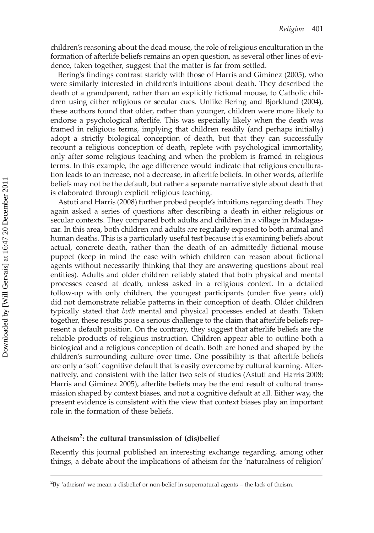children's reasoning about the dead mouse, the role of religious enculturation in the formation of afterlife beliefs remains an open question, as several other lines of evidence, taken together, suggest that the matter is far from settled.

Bering's findings contrast starkly with those of Harris and Giminez (2005), who were similarly interested in children's intuitions about death. They described the death of a grandparent, rather than an explicitly fictional mouse, to Catholic children using either religious or secular cues. Unlike Bering and Bjorklund (2004), these authors found that older, rather than younger, children were more likely to endorse a psychological afterlife. This was especially likely when the death was framed in religious terms, implying that children readily (and perhaps initially) adopt a strictly biological conception of death, but that they can successfully recount a religious conception of death, replete with psychological immortality, only after some religious teaching and when the problem is framed in religious terms. In this example, the age difference would indicate that religious enculturation leads to an increase, not a decrease, in afterlife beliefs. In other words, afterlife beliefs may not be the default, but rather a separate narrative style about death that is elaborated through explicit religious teaching.

Astuti and Harris (2008) further probed people's intuitions regarding death. They again asked a series of questions after describing a death in either religious or secular contexts. They compared both adults and children in a village in Madagascar. In this area, both children and adults are regularly exposed to both animal and human deaths. This is a particularly useful test because it is examining beliefs about actual, concrete death, rather than the death of an admittedly fictional mouse puppet (keep in mind the ease with which children can reason about fictional agents without necessarily thinking that they are answering questions about real entities). Adults and older children reliably stated that both physical and mental processes ceased at death, unless asked in a religious context. In a detailed follow-up with only children, the youngest participants (under five years old) did not demonstrate reliable patterns in their conception of death. Older children typically stated that both mental and physical processes ended at death. Taken together, these results pose a serious challenge to the claim that afterlife beliefs represent a default position. On the contrary, they suggest that afterlife beliefs are the reliable products of religious instruction. Children appear able to outline both a biological and a religious conception of death. Both are honed and shaped by the children's surrounding culture over time. One possibility is that afterlife beliefs are only a 'soft' cognitive default that is easily overcome by cultural learning. Alternatively, and consistent with the latter two sets of studies (Astuti and Harris 2008; Harris and Giminez 2005), afterlife beliefs may be the end result of cultural transmission shaped by context biases, and not a cognitive default at all. Either way, the present evidence is consistent with the view that context biases play an important role in the formation of these beliefs.

### Atheism<sup>2</sup>: the cultural transmission of (dis)belief

Recently this journal published an interesting exchange regarding, among other things, a debate about the implications of atheism for the 'naturalness of religion'

 $^{2}$ By 'atheism' we mean a disbelief or non-belief in supernatural agents – the lack of theism.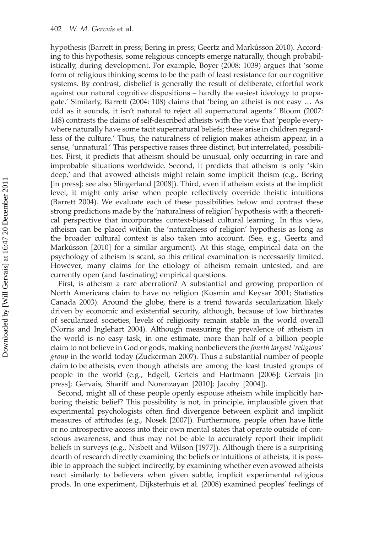hypothesis (Barrett in press; Bering in press; Geertz and Markússon 2010). According to this hypothesis, some religious concepts emerge naturally, though probabilistically, during development. For example, Boyer (2008: 1039) argues that 'some form of religious thinking seems to be the path of least resistance for our cognitive systems. By contrast, disbelief is generally the result of deliberate, effortful work against our natural cognitive dispositions – hardly the easiest ideology to propagate.' Similarly, Barrett (2004: 108) claims that 'being an atheist is not easy … As odd as it sounds, it isn't natural to reject all supernatural agents.' Bloom (2007: 148) contrasts the claims of self-described atheists with the view that 'people everywhere naturally have some tacit supernatural beliefs; these arise in children regardless of the culture.' Thus, the naturalness of religion makes atheism appear, in a sense, 'unnatural.' This perspective raises three distinct, but interrelated, possibilities. First, it predicts that atheism should be unusual, only occurring in rare and improbable situations worldwide. Second, it predicts that atheism is only 'skin deep,' and that avowed atheists might retain some implicit theism (e.g., Bering [in press]; see also Slingerland [2008]). Third, even if atheism exists at the implicit level, it might only arise when people reflectively override theistic intuitions (Barrett 2004). We evaluate each of these possibilities below and contrast these strong predictions made by the 'naturalness of religion' hypothesis with a theoretical perspective that incorporates context-biased cultural learning. In this view, atheism can be placed within the 'naturalness of religion' hypothesis as long as the broader cultural context is also taken into account. (See, e.g., Geertz and Markússon [2010] for a similar argument). At this stage, empirical data on the psychology of atheism is scant, so this critical examination is necessarily limited. However, many claims for the etiology of atheism remain untested, and are currently open (and fascinating) empirical questions.

First, is atheism a rare aberration? A substantial and growing proportion of North Americans claim to have no religion (Kosmin and Keysar 2001; Statistics Canada 2003). Around the globe, there is a trend towards secularization likely driven by economic and existential security, although, because of low birthrates of secularized societies, levels of religiosity remain stable in the world overall (Norris and Inglehart 2004). Although measuring the prevalence of atheism in the world is no easy task, in one estimate, more than half of a billion people claim to not believe in God or gods, making nonbelievers the fourth largest 'religious' group in the world today (Zuckerman 2007). Thus a substantial number of people claim to be atheists, even though atheists are among the least trusted groups of people in the world (e.g., Edgell, Gerteis and Hartmann [2006]; Gervais [in press]; Gervais, Shariff and Norenzayan [2010]; Jacoby [2004]).

Second, might all of these people openly espouse atheism while implicitly harboring theistic belief? This possibility is not, in principle, implausible given that experimental psychologists often find divergence between explicit and implicit measures of attitudes (e.g., Nosek [2007]). Furthermore, people often have little or no introspective access into their own mental states that operate outside of conscious awareness, and thus may not be able to accurately report their implicit beliefs in surveys (e.g., Nisbett and Wilson [1977]). Although there is a surprising dearth of research directly examining the beliefs or intuitions of atheists, it is possible to approach the subject indirectly, by examining whether even avowed atheists react similarly to believers when given subtle, implicit experimental religious prods. In one experiment, Dijksterhuis et al. (2008) examined peoples' feelings of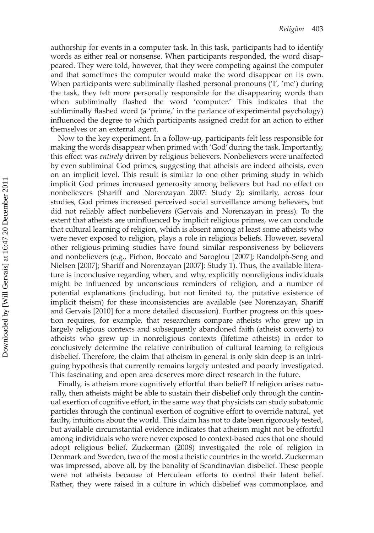authorship for events in a computer task. In this task, participants had to identify words as either real or nonsense. When participants responded, the word disappeared. They were told, however, that they were competing against the computer and that sometimes the computer would make the word disappear on its own. When participants were subliminally flashed personal pronouns ('I', 'me') during the task, they felt more personally responsible for the disappearing words than when subliminally flashed the word 'computer.' This indicates that the subliminally flashed word (a 'prime,' in the parlance of experimental psychology) influenced the degree to which participants assigned credit for an action to either themselves or an external agent.

Now to the key experiment. In a follow-up, participants felt less responsible for making the words disappear when primed with 'God'during the task. Importantly, this effect was entirely driven by religious believers. Nonbelievers were unaffected by even subliminal God primes, suggesting that atheists are indeed atheists, even on an implicit level. This result is similar to one other priming study in which implicit God primes increased generosity among believers but had no effect on nonbelievers (Shariff and Norenzayan 2007: Study 2); similarly, across four studies, God primes increased perceived social surveillance among believers, but did not reliably affect nonbelievers (Gervais and Norenzayan in press). To the extent that atheists are uninfluenced by implicit religious primes, we can conclude that cultural learning of religion, which is absent among at least some atheists who were never exposed to religion, plays a role in religious beliefs. However, several other religious-priming studies have found similar responsiveness by believers and nonbelievers (e.g., Pichon, Boccato and Saroglou [2007]; Randolph-Seng and Nielsen [2007]; Shariff and Norenzayan [2007]: Study 1). Thus, the available literature is inconclusive regarding when, and why, explicitly nonreligious individuals might be influenced by unconscious reminders of religion, and a number of potential explanations (including, but not limited to, the putative existence of implicit theism) for these inconsistencies are available (see Norenzayan, Shariff and Gervais [2010] for a more detailed discussion). Further progress on this question requires, for example, that researchers compare atheists who grew up in largely religious contexts and subsequently abandoned faith (atheist converts) to atheists who grew up in nonreligious contexts (lifetime atheists) in order to conclusively determine the relative contribution of cultural learning to religious disbelief. Therefore, the claim that atheism in general is only skin deep is an intriguing hypothesis that currently remains largely untested and poorly investigated. This fascinating and open area deserves more direct research in the future.

Finally, is atheism more cognitively effortful than belief? If religion arises naturally, then atheists might be able to sustain their disbelief only through the continual exertion of cognitive effort, in the same way that physicists can study subatomic particles through the continual exertion of cognitive effort to override natural, yet faulty, intuitions about the world. This claim has not to date been rigorously tested, but available circumstantial evidence indicates that atheism might not be effortful among individuals who were never exposed to context-based cues that one should adopt religious belief. Zuckerman (2008) investigated the role of religion in Denmark and Sweden, two of the most atheistic countries in the world. Zuckerman was impressed, above all, by the banality of Scandinavian disbelief. These people were not atheists because of Herculean efforts to control their latent belief. Rather, they were raised in a culture in which disbelief was commonplace, and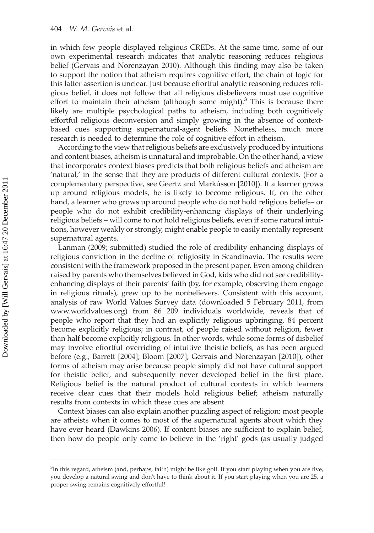in which few people displayed religious CREDs. At the same time, some of our own experimental research indicates that analytic reasoning reduces religious belief (Gervais and Norenzayan 2010). Although this finding may also be taken to support the notion that atheism requires cognitive effort, the chain of logic for this latter assertion is unclear. Just because effortful analytic reasoning reduces religious belief, it does not follow that all religious disbelievers must use cognitive effort to maintain their atheism (although some might). $3$  This is because there likely are multiple psychological paths to atheism, including both cognitively effortful religious deconversion and simply growing in the absence of contextbased cues supporting supernatural-agent beliefs. Nonetheless, much more research is needed to determine the role of cognitive effort in atheism.

According to the view that religious beliefs are exclusively produced by intuitions and content biases, atheism is unnatural and improbable. On the other hand, a view that incorporates context biases predicts that both religious beliefs and atheism are 'natural,' in the sense that they are products of different cultural contexts. (For a complementary perspective, see Geertz and Markússon [2010]). If a learner grows up around religious models, he is likely to become religious. If, on the other hand, a learner who grows up around people who do not hold religious beliefs– or people who do not exhibit credibility-enhancing displays of their underlying religious beliefs – will come to not hold religious beliefs, even if some natural intuitions, however weakly or strongly, might enable people to easily mentally represent supernatural agents.

Lanman (2009; submitted) studied the role of credibility-enhancing displays of religious conviction in the decline of religiosity in Scandinavia. The results were consistent with the framework proposed in the present paper. Even among children raised by parents who themselves believed in God, kids who did not see credibilityenhancing displays of their parents' faith (by, for example, observing them engage in religious rituals), grew up to be nonbelievers. Consistent with this account, analysis of raw World Values Survey data (downloaded 5 February 2011, from [www.worldvalues.org\)](www.worldvalues.org) from 86 209 individuals worldwide, reveals that of people who report that they had an explicitly religious upbringing, 84 percent become explicitly religious; in contrast, of people raised without religion, fewer than half become explicitly religious. In other words, while some forms of disbelief may involve effortful overriding of intuitive theistic beliefs, as has been argued before (e.g., Barrett [2004]; Bloom [2007]; Gervais and Norenzayan [2010]), other forms of atheism may arise because people simply did not have cultural support for theistic belief, and subsequently never developed belief in the first place. Religious belief is the natural product of cultural contexts in which learners receive clear cues that their models hold religious belief; atheism naturally results from contexts in which these cues are absent.

Context biases can also explain another puzzling aspect of religion: most people are atheists when it comes to most of the supernatural agents about which they have ever heard (Dawkins 2006). If content biases are sufficient to explain belief, then how do people only come to believe in the 'right' gods (as usually judged

 ${}^{3}$ In this regard, atheism (and, perhaps, faith) might be like golf. If you start playing when you are five, you develop a natural swing and don't have to think about it. If you start playing when you are 25, a proper swing remains cognitively effortful!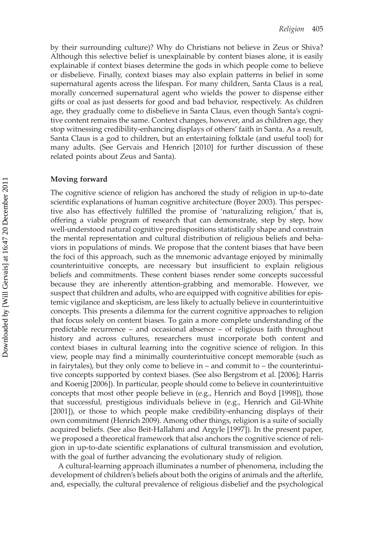by their surrounding culture)? Why do Christians not believe in Zeus or Shiva? Although this selective belief is unexplainable by content biases alone, it is easily explainable if context biases determine the gods in which people come to believe or disbelieve. Finally, context biases may also explain patterns in belief in some supernatural agents across the lifespan. For many children, Santa Claus is a real, morally concerned supernatural agent who wields the power to dispense either gifts or coal as just desserts for good and bad behavior, respectively. As children age, they gradually come to disbelieve in Santa Claus, even though Santa's cognitive content remains the same. Context changes, however, and as children age, they stop witnessing credibility-enhancing displays of others' faith in Santa. As a result, Santa Claus is a god to children, but an entertaining folktale (and useful tool) for many adults. (See Gervais and Henrich [2010] for further discussion of these related points about Zeus and Santa).

#### Moving forward

The cognitive science of religion has anchored the study of religion in up-to-date scientific explanations of human cognitive architecture (Boyer 2003). This perspective also has effectively fulfilled the promise of 'naturalizing religion,' that is, offering a viable program of research that can demonstrate, step by step, how well-understood natural cognitive predispositions statistically shape and constrain the mental representation and cultural distribution of religious beliefs and behaviors in populations of minds. We propose that the content biases that have been the foci of this approach, such as the mnemonic advantage enjoyed by minimally counterintuitive concepts, are necessary but insufficient to explain religious beliefs and commitments. These content biases render some concepts successful because they are inherently attention-grabbing and memorable. However, we suspect that children and adults, who are equipped with cognitive abilities for epistemic vigilance and skepticism, are less likely to actually believe in counterintuitive concepts. This presents a dilemma for the current cognitive approaches to religion that focus solely on content biases. To gain a more complete understanding of the predictable recurrence – and occasional absence – of religious faith throughout history and across cultures, researchers must incorporate both content and context biases in cultural learning into the cognitive science of religion. In this view, people may find a minimally counterintuitive concept memorable (such as in fairytales), but they only come to believe in – and commit to – the counterintuitive concepts supported by context biases. (See also Bergstrom et al. [2006]; Harris and Koenig [2006]). In particular, people should come to believe in counterintuitive concepts that most other people believe in (e.g., Henrich and Boyd [1998]), those that successful, prestigious individuals believe in (e.g., Henrich and Gil-White [2001]), or those to which people make credibility-enhancing displays of their own commitment (Henrich 2009). Among other things, religion is a suite of socially acquired beliefs. (See also Beit-Hallahmi and Argyle [1997]). In the present paper, we proposed a theoretical framework that also anchors the cognitive science of religion in up-to-date scientific explanations of cultural transmission and evolution, with the goal of further advancing the evolutionary study of religion.

A cultural-learning approach illuminates a number of phenomena, including the development of children's beliefs about both the origins of animals and the afterlife, and, especially, the cultural prevalence of religious disbelief and the psychological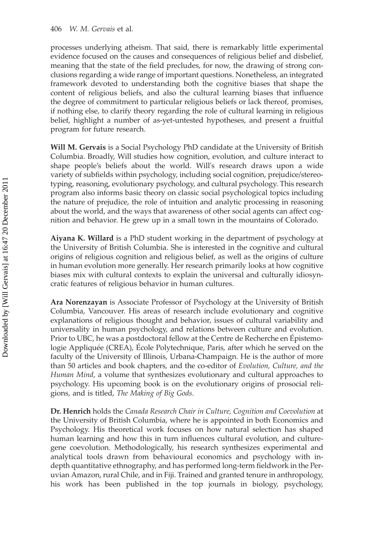processes underlying atheism. That said, there is remarkably little experimental evidence focused on the causes and consequences of religious belief and disbelief, meaning that the state of the field precludes, for now, the drawing of strong conclusions regarding a wide range of important questions. Nonetheless, an integrated framework devoted to understanding both the cognitive biases that shape the content of religious beliefs, and also the cultural learning biases that influence the degree of commitment to particular religious beliefs or lack thereof, promises, if nothing else, to clarify theory regarding the role of cultural learning in religious belief, highlight a number of as-yet-untested hypotheses, and present a fruitful program for future research.

Will M. Gervais is a Social Psychology PhD candidate at the University of British Columbia. Broadly, Will studies how cognition, evolution, and culture interact to shape people's beliefs about the world. Will's research draws upon a wide variety of subfields within psychology, including social cognition, prejudice/stereotyping, reasoning, evolutionary psychology, and cultural psychology. This research program also informs basic theory on classic social psychological topics including the nature of prejudice, the role of intuition and analytic processing in reasoning about the world, and the ways that awareness of other social agents can affect cognition and behavior. He grew up in a small town in the mountains of Colorado.

Aiyana K. Willard is a PhD student working in the department of psychology at the University of British Columbia. She is interested in the cognitive and cultural origins of religious cognition and religious belief, as well as the origins of culture in human evolution more generally. Her research primarily looks at how cognitive biases mix with cultural contexts to explain the universal and culturally idiosyncratic features of religious behavior in human cultures.

Ara Norenzayan is Associate Professor of Psychology at the University of British Columbia, Vancouver. His areas of research include evolutionary and cognitive explanations of religious thought and behavior, issues of cultural variability and universality in human psychology, and relations between culture and evolution. Prior to UBC, he was a postdoctoral fellow at the Centre de Recherche en Épistemologie Appliquée (CREA), École Polytechnique, Paris, after which he served on the faculty of the University of Illinois, Urbana-Champaign. He is the author of more than 50 articles and book chapters, and the co-editor of Evolution, Culture, and the Human Mind, a volume that synthesizes evolutionary and cultural approaches to psychology. His upcoming book is on the evolutionary origins of prosocial religions, and is titled, The Making of Big Gods.

Dr. Henrich holds the Canada Research Chair in Culture, Cognition and Coevolution at the University of British Columbia, where he is appointed in both Economics and Psychology. His theoretical work focuses on how natural selection has shaped human learning and how this in turn influences cultural evolution, and culturegene coevolution. Methodologically, his research synthesizes experimental and analytical tools drawn from behavioural economics and psychology with indepth quantitative ethnography, and has performed long-term fieldwork in the Peruvian Amazon, rural Chile, and in Fiji. Trained and granted tenure in anthropology, his work has been published in the top journals in biology, psychology,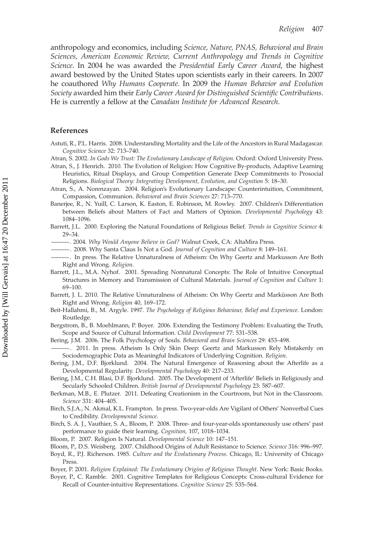anthropology and economics, including Science, Nature, PNAS, Behavioral and Brain Sciences, American Economic Review, Current Anthropology and Trends in Cognitive Science. In 2004 he was awarded the Presidential Early Career Award, the highest award bestowed by the United States upon scientists early in their careers. In 2007 he coauthored Why Humans Cooperate. In 2009 the Human Behavior and Evolution Society awarded him their Early Career Award for Distinguished Scientific Contributions. He is currently a fellow at the Canadian Institute for Advanced Research.

#### References

- Astuti, R., P.L. Harris. 2008. Understanding Mortality and the Life of the Ancestors in Rural Madagascar. Cognitive Science 32: 713–740.
- Atran, S. 2002. In Gods We Trust: The Evolutionary Landscape of Religion. Oxford: Oxford University Press.
- Atran, S., J. Henrich. 2010. The Evolution of Religion: How Cognitive By-products, Adaptive Learning Heuristics, Ritual Displays, and Group Competition Generate Deep Commitments to Prosocial Religions. Biological Theory: Integrating Development, Evolution, and Cognition 5: 18–30.
- Atran, S., A. Norenzayan. 2004. Religion's Evolutionary Landscape: Counterintuition, Commitment, Compassion, Communion. Behavioral and Brain Sciences 27: 713–770.
- Banerjee, R., N. Yuill, C. Larson, K. Easton, E. Robinson, M. Rowley. 2007. Children's Differentiation between Beliefs about Matters of Fact and Matters of Opinion. Developmental Psychology 43: 1084–1096.
- Barrett, J.L. 2000. Exploring the Natural Foundations of Religious Belief. Trends in Cognitive Science 4: 29–34.
	- -. 2004. Why Would Anyone Believe in God? Walnut Creek, CA: AltaMira Press.
	- 2008. Why Santa Claus Is Not a God. Journal of Cognition and Culture 8: 149-161.
- ————. In press. The Relative Unnaturalness of Atheism: On Why Geertz and Markusson Are Both Right and Wrong. Religion.
- Barrett, J.L., M.A. Nyhof. 2001. Spreading Nonnatural Concepts: The Role of Intuitive Conceptual Structures in Memory and Transmission of Cultural Materials. Journal of Cognition and Culture 1: 69–100.
- Barrett, J. L. 2010. The Relative Unnaturalness of Atheism: On Why Geertz and Marküsson Are Both Right and Wrong. Religion 40, 169–172.
- Beit-Hallahmi, B., M. Argyle. 1997. The Psychology of Religious Behaviour, Belief and Experience. London: Routledge.
- Bergstrom, B., B. Moehlmann, P. Boyer. 2006. Extending the Testimony Problem: Evaluating the Truth, Scope and Source of Cultural Information. Child Development 77: 531–538.
- Bering, J.M. 2006. The Folk Psychology of Souls. Behavioral and Brain Sciences 29: 453–498.
	- ————. 2011. In press. Atheism Is Only Skin Deep: Geertz and Markusson Rely Mistakenly on Sociodemographic Data as Meaningful Indicators of Underlying Cognition. Religion.
- Bering, J.M., D.F. Bjorklund. 2004. The Natural Emergence of Reasoning about the Afterlife as a Developmental Regularity. Developmental Psychology 40: 217–233.
- Bering, J.M., C.H. Blasi, D.F. Bjorklund. 2005. The Development of 'Afterlife' Beliefs in Religiously and Secularly Schooled Children. British Journal of Developmental Psychology 23: 587–607.
- Berkman, M.B., E. Plutzer. 2011. Defeating Creationism in the Courtroom, but Not in the Classroom. Science 331: 404–405.
- Birch, S.J.A., N. Akmal, K.L. Frampton. In press. Two-year-olds Are Vigilant of Others' Nonverbal Cues to Credibility. Developmental Science.
- Birch, S. A. J., Vauthier, S. A., Bloom, P. 2008. Three- and four-year-olds spontaneously use others' past performance to guide their learning. Cognition, 107, 1018–1034.
- Bloom, P. 2007. Religion Is Natural. Developmental Science 10: 147–151.
- Bloom, P., D.S. Weisberg. 2007. Childhood Origins of Adult Resistance to Science. Science 316: 996–997.
- Boyd, R., P.J. Richerson. 1985. Culture and the Evolutionary Process. Chicago, IL: University of Chicago Press.
- Boyer, P. 2001. Religion Explained: The Evolutionary Origins of Religious Thought. New York: Basic Books.
- Boyer, P., C. Ramble. 2001. Cognitive Templates for Religious Concepts: Cross-cultural Evidence for Recall of Counter-intuitive Representations. Cognitive Science 25: 535–564.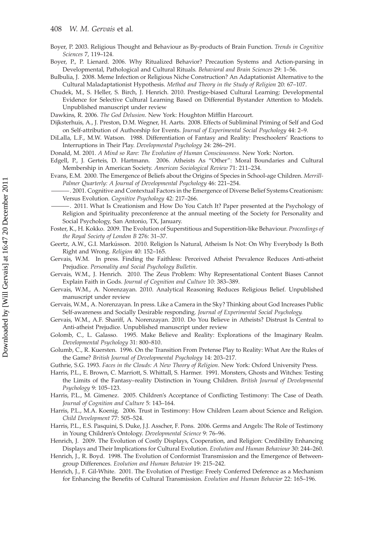- Boyer, P. 2003. Religious Thought and Behaviour as By-products of Brain Function. Trends in Cognitive Sciences 7, 119–124.
- Boyer, P., P. Lienard. 2006. Why Ritualized Behavior? Precaution Systems and Action-parsing in Developmental, Pathological and Cultural Rituals. Behavioral and Brain Sciences 29: 1–56.
- Bulbulia, J. 2008. Meme Infection or Religious Niche Construction? An Adaptationist Alternative to the Cultural Maladaptationist Hypothesis. Method and Theory in the Study of Religion 20: 67–107.
- Chudek, M., S. Heller, S. Birch, J. Henrich. 2010. Prestige-biased Cultural Learning: Developmental Evidence for Selective Cultural Learning Based on Differential Bystander Attention to Models. Unpublished manuscript under review
- Dawkins, R. 2006. The God Delusion. New York: Houghton Mifflin Harcourt.
- Dijksterhuis, A., J. Preston, D.M. Wegner, H. Aarts. 2008. Effects of Subliminal Priming of Self and God on Self-attribution of Authorship for Events. Journal of Experimental Social Psychology 44: 2–9.
- DiLalla, L.F., M.W. Watson. 1988. Differentiation of Fantasy and Reality: Preschoolers' Reactions to Interruptions in Their Play. Developmental Psychology 24: 286–291.
- Donald, M. 2001. A Mind so Rare: The Evolution of Human Consciousness. New York: Norton.
- Edgell, P., J. Gerteis, D. Hartmann. 2006. Atheists As "Other": Moral Boundaries and Cultural Membership in American Society. American Sociological Review 71: 211–234.
- Evans, E.M. 2000. The Emergence of Beliefs about the Origins of Species in School-age Children. Merrill-Palmer Quarterly: A Journal of Developmental Psychology 46: 221–254.
	- ————. 2001. Cognitive and Contextual Factors in the Emergence of Diverse Belief Systems Creationism: Versus Evolution. Cognitive Psychology 42: 217–266.
	- ————. 2011. What Is Creationism and How Do You Catch It? Paper presented at the Psychology of Religion and Spirituality preconference at the annual meeting of the Society for Personality and Social Psychology, San Antonio, TX, January.
- Foster, K., H. Kokko. 2009. The Evolution of Superstitious and Superstition-like Behaviour. Proceedings of the Royal Society of London B 276: 31–37.
- Geertz, A.W., G.I. Markússon. 2010. Religion Is Natural, Atheism Is Not: On Why Everybody Is Both Right and Wrong. Religion 40: 152–165.
- Gervais, W.M. In press. Finding the Faithless: Perceived Atheist Prevalence Reduces Anti-atheist Prejudice. Personality and Social Psychology Bulletin.
- Gervais, W.M., J. Henrich. 2010. The Zeus Problem: Why Representational Content Biases Cannot Explain Faith in Gods. Journal of Cognition and Culture 10: 383–389.
- Gervais, W.M., A. Norenzayan. 2010. Analytical Reasoning Reduces Religious Belief. Unpublished manuscript under review
- Gervais, W.M., A. Norenzayan. In press. Like a Camera in the Sky? Thinking about God Increases Public Self-awareness and Socially Desirable responding. Journal of Experimental Social Psychology.
- Gervais, W.M., A.F. Shariff, A. Norenzayan. 2010. Do You Believe in Atheists? Distrust Is Central to Anti-atheist Prejudice. Unpublished manuscript under review
- Golomb, C., L. Galasso. 1995. Make Believe and Reality: Explorations of the Imaginary Realm. Developmental Psychology 31: 800–810.
- Golumb, C., R. Kuersten. 1996. On the Transition From Pretense Play to Reality: What Are the Rules of the Game? British Journal of Developmental Psychology 14: 203–217.
- Guthrie, S.G. 1993. Faces in the Clouds: A New Theory of Religion. New York: Oxford University Press.
- Harris, P.L., E. Brown, C. Marriott, S. Whittall, S. Harmer. 1991. Monsters, Ghosts and Witches: Testing the Limits of the Fantasy–reality Distinction in Young Children. British Journal of Developmental Psychology 9: 105–123.
- Harris, P.L., M. Gimenez. 2005. Children's Acceptance of Conflicting Testimony: The Case of Death. Journal of Cognition and Culture 5: 143–164.
- Harris, P.L., M.A. Koenig. 2006. Trust in Testimony: How Children Learn about Science and Religion. Child Development 77: 505–524.
- Harris, P.L., E.S. Pasquini, S. Duke, J.J. Asscher, F. Pons. 2006. Germs and Angels: The Role of Testimony in Young Children's Ontology. Developmental Science 9: 76–96.
- Henrich, J. 2009. The Evolution of Costly Displays, Cooperation, and Religion: Credibility Enhancing Displays and Their Implications for Cultural Evolution. Evolution and Human Behaviour 30: 244–260.
- Henrich, J., R. Boyd. 1998. The Evolution of Conformist Transmission and the Emergence of Betweengroup Differences. Evolution and Human Behavior 19: 215–242.
- Henrich, J., F. Gil-White. 2001. The Evolution of Prestige: Freely Conferred Deference as a Mechanism for Enhancing the Benefits of Cultural Transmission. Evolution and Human Behavior 22: 165–196.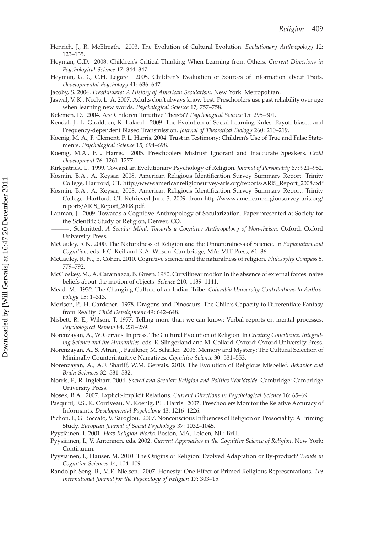- Henrich, J., R. McElreath. 2003. The Evolution of Cultural Evolution. Evolutionary Anthropology 12: 123–135.
- Heyman, G.D. 2008. Children's Critical Thinking When Learning from Others. Current Directions in Psychological Science 17: 344–347.
- Heyman, G.D., C.H. Legare. 2005. Children's Evaluation of Sources of Information about Traits. Developmental Psychology 41: 636–647.
- Jacoby, S. 2004. Freethinkers: A History of American Secularism. New York: Metropolitan.
- Jaswal, V. K., Neely, L. A. 2007. Adults don't always know best: Preschoolers use past reliability over age when learning new words. Psychological Science 17, 757–758.
- Kelemen, D. 2004. Are Children 'Intuitive Theists'? Psychological Science 15: 295–301.
- Kendal, J., L. Giraldaeu, K. Laland. 2009. The Evolution of Social Learning Rules: Payoff-biased and Frequency-dependent Biased Transmission. Journal of Theoretical Biology 260: 210–219.
- Koenig, M. A., F. Clément, P. L. Harris. 2004. Trust in Testimony: Children's Use of True and False Statements. Psychological Science 15, 694–698.
- Koenig, M.A., P.L. Harris. 2005. Preschoolers Mistrust Ignorant and Inaccurate Speakers. Child Development 76: 1261–1277.
- Kirkpatrick, L. 1999. Toward an Evolutionary Psychology of Religion. Journal of Personality 67: 921–952.
- Kosmin, B.A., A. Keysar. 2008. American Religious Identification Survey Summary Report. Trinity College, Hartford, CT. [http://www.americanreligionsurvey-aris.org/reports/ARIS\\_Report\\_2008.pdf](http://www.americanreligionsurvey-aris.org/reports/ARIS_Report_2008.pdf)
- Kosmin, B.A., A. Keysar, 2008. American Religious Identification Survey Summary Report. Trinity College, Hartford, CT. Retrieved June 3, 2009, from [http://www.americanreligionsurvey-aris.org/](http://www.americanreligionsurvey-aris.org/reports/ARIS_Report_2008.pdf) [reports/ARIS\\_Report\\_2008.pdf](http://www.americanreligionsurvey-aris.org/reports/ARIS_Report_2008.pdf).
- Lanman, J. 2009. Towards a Cognitive Anthropology of Secularization. Paper presented at Society for the Scientific Study of Religion, Denver, CO.
	- -. Submitted. A Secular Mind: Towards a Cognitive Anthropology of Non-theism. Oxford: Oxford University Press.
- McCauley, R.N. 2000. The Naturalness of Religion and the Unnaturalness of Science. In Explanation and Cognition, eds. F.C. Keil and R.A. Wilson. Cambridge, MA: MIT Press, 61–86.
- McCauley, R. N., E. Cohen. 2010. Cognitive science and the naturalness of religion. Philosophy Compass 5, 779–792.
- McCloskey, M., A. Caramazza, B. Green. 1980. Curvilinear motion in the absence of external forces: naive beliefs about the motion of objects. Science 210, 1139–1141.
- Mead, M. 1932. The Changing Culture of an Indian Tribe. Columbia University Contributions to Anthropology 15: 1–313.
- Morison, P., H. Gardener. 1978. Dragons and Dinosaurs: The Child's Capacity to Differentiate Fantasy from Reality. Child Development 49: 642–648.
- Nisbett, R. E., Wilson, T. 1977. Telling more than we can know: Verbal reports on mental processes. Psychological Review 84, 231–259.
- Norenzayan, A., W. Gervais. In press. The Cultural Evolution of Religion. In Creating Concilience: Integrating Science and the Humanities, eds. E. Slingerland and M. Collard. Oxford: Oxford University Press.
- Norenzayan, A., S. Atran, J. Faulkner, M. Schaller. 2006. Memory and Mystery: The Cultural Selection of Minimally Counterintuitive Narratives. Cognitive Science 30: 531–553.
- Norenzayan, A., A.F. Shariff, W.M. Gervais. 2010. The Evolution of Religious Misbelief. Behavior and Brain Sciences 32: 531–532.
- Norris, P., R. Inglehart. 2004. Sacred and Secular: Religion and Politics Worldwide. Cambridge: Cambridge University Press.
- Nosek, B.A. 2007. Explicit-Implicit Relations. Current Directions in Psychological Science 16: 65–69.
- Pasquini, E.S., K. Corriveau, M. Koenig, P.L. Harris. 2007. Preschoolers Monitor the Relative Accuracy of Informants. Developmental Psychology 43: 1216–1226.
- Pichon, I., G. Boccato, V. Saroglou. 2007. Nonconscious Influences of Religion on Prosociality: A Priming Study. European Journal of Social Psychology 37: 1032–1045.
- Pyysiäinen, I. 2001. How Religion Works. Boston, MA, Leiden, NL: Brill.
- Pyysiäinen, I., V. Antonnen, eds. 2002. Current Approaches in the Cognitive Science of Religion. New York: Continuum.
- Pyysiäinen, I., Hauser, M. 2010. The Origins of Religion: Evolved Adaptation or By-product? Trends in Cognitive Sciences 14, 104–109.
- Randolph-Seng, B., M.E. Nielsen. 2007. Honesty: One Effect of Primed Religious Representations. The International Journal for the Psychology of Religion 17: 303–15.